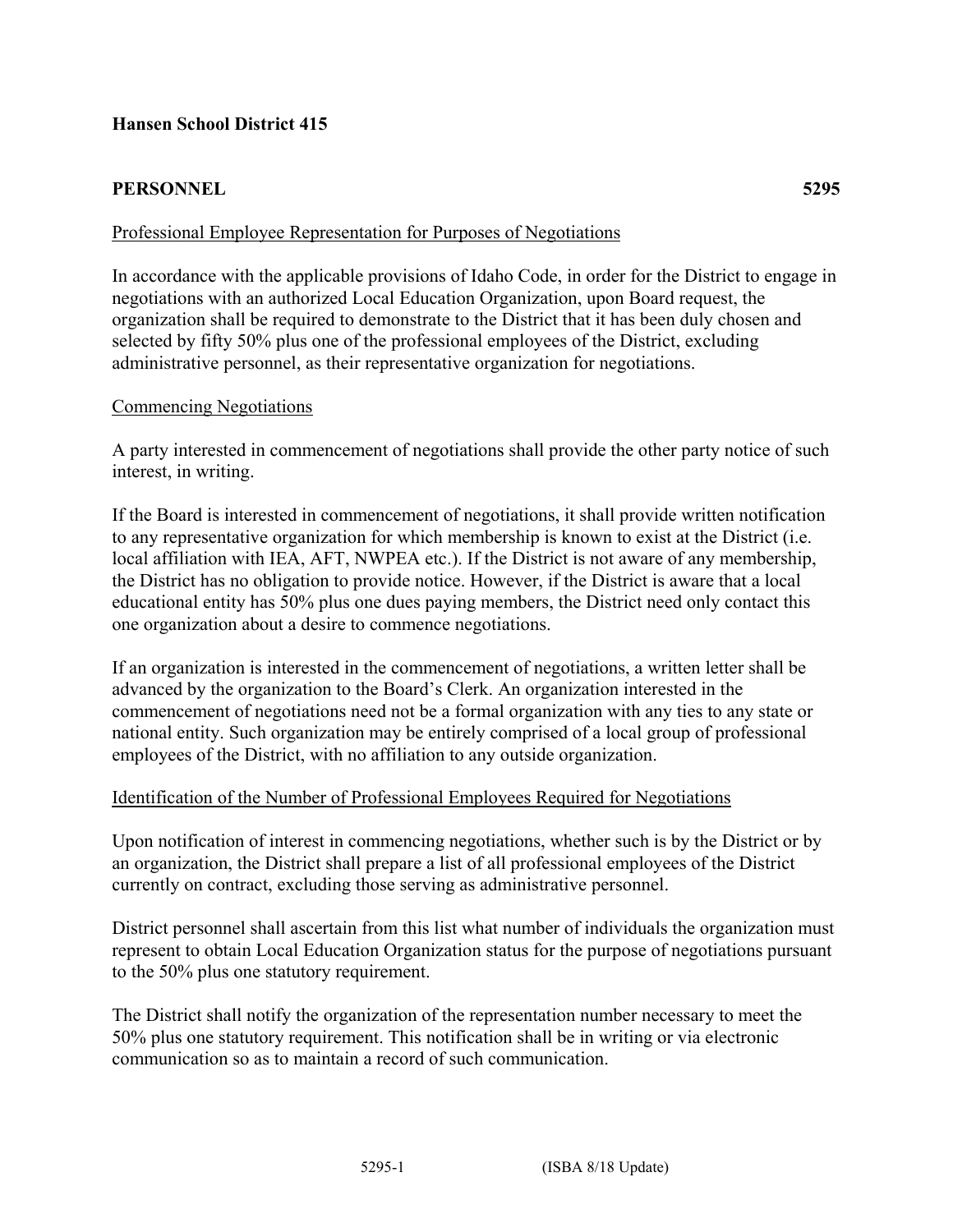# **PERSONNEL 5295**

## Professional Employee Representation for Purposes of Negotiations

In accordance with the applicable provisions of Idaho Code, in order for the District to engage in negotiations with an authorized Local Education Organization, upon Board request, the organization shall be required to demonstrate to the District that it has been duly chosen and selected by fifty 50% plus one of the professional employees of the District, excluding administrative personnel, as their representative organization for negotiations.

## Commencing Negotiations

A party interested in commencement of negotiations shall provide the other party notice of such interest, in writing.

If the Board is interested in commencement of negotiations, it shall provide written notification to any representative organization for which membership is known to exist at the District (i.e. local affiliation with IEA, AFT, NWPEA etc.). If the District is not aware of any membership, the District has no obligation to provide notice. However, if the District is aware that a local educational entity has 50% plus one dues paying members, the District need only contact this one organization about a desire to commence negotiations.

If an organization is interested in the commencement of negotiations, a written letter shall be advanced by the organization to the Board's Clerk. An organization interested in the commencement of negotiations need not be a formal organization with any ties to any state or national entity. Such organization may be entirely comprised of a local group of professional employees of the District, with no affiliation to any outside organization.

### Identification of the Number of Professional Employees Required for Negotiations

Upon notification of interest in commencing negotiations, whether such is by the District or by an organization, the District shall prepare a list of all professional employees of the District currently on contract, excluding those serving as administrative personnel.

District personnel shall ascertain from this list what number of individuals the organization must represent to obtain Local Education Organization status for the purpose of negotiations pursuant to the 50% plus one statutory requirement.

The District shall notify the organization of the representation number necessary to meet the 50% plus one statutory requirement. This notification shall be in writing or via electronic communication so as to maintain a record of such communication.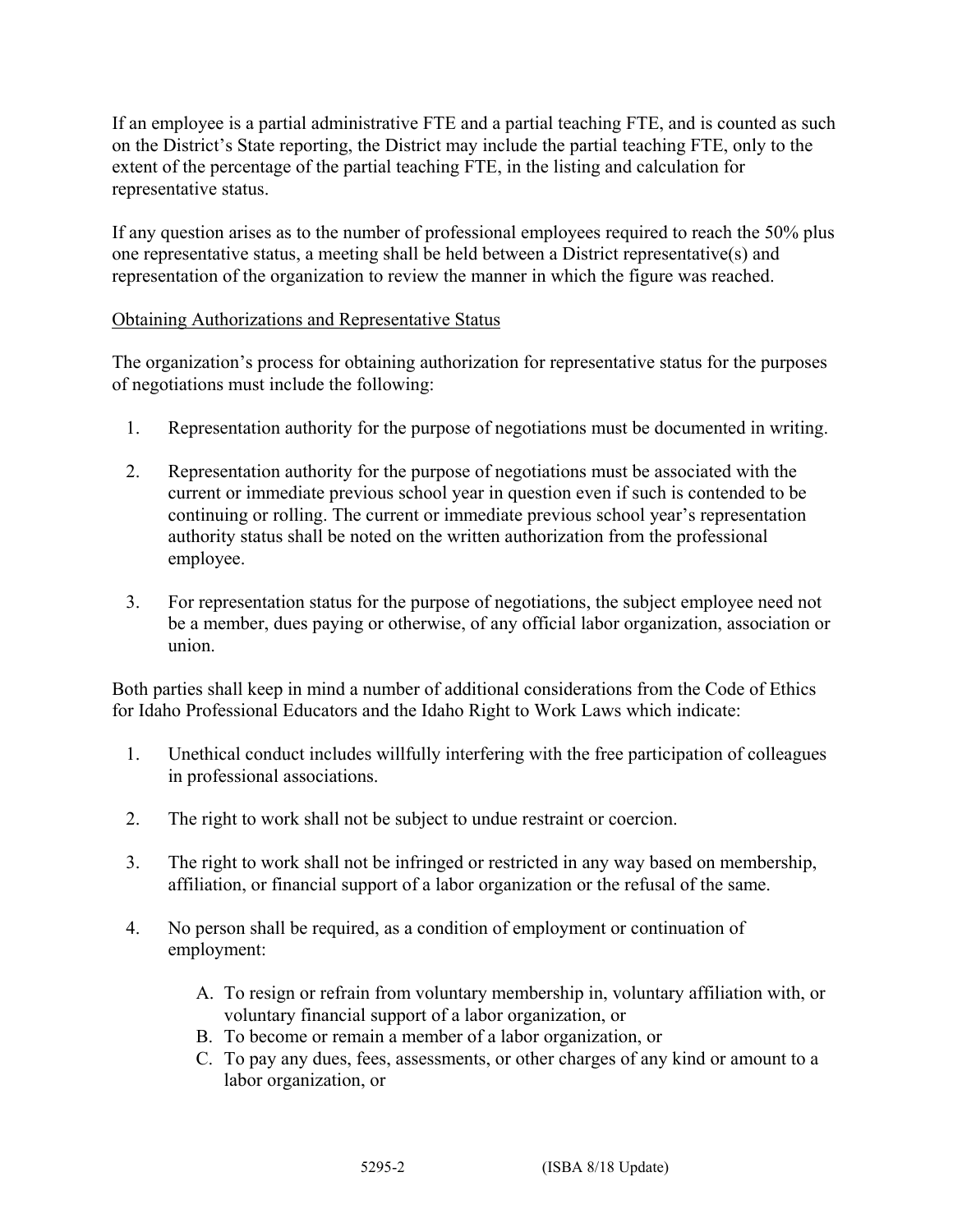If an employee is a partial administrative FTE and a partial teaching FTE, and is counted as such on the District's State reporting, the District may include the partial teaching FTE, only to the extent of the percentage of the partial teaching FTE, in the listing and calculation for representative status.

If any question arises as to the number of professional employees required to reach the 50% plus one representative status, a meeting shall be held between a District representative(s) and representation of the organization to review the manner in which the figure was reached.

### Obtaining Authorizations and Representative Status

The organization's process for obtaining authorization for representative status for the purposes of negotiations must include the following:

- 1. Representation authority for the purpose of negotiations must be documented in writing.
- 2. Representation authority for the purpose of negotiations must be associated with the current or immediate previous school year in question even if such is contended to be continuing or rolling. The current or immediate previous school year's representation authority status shall be noted on the written authorization from the professional employee.
- 3. For representation status for the purpose of negotiations, the subject employee need not be a member, dues paying or otherwise, of any official labor organization, association or union.

Both parties shall keep in mind a number of additional considerations from the Code of Ethics for Idaho Professional Educators and the Idaho Right to Work Laws which indicate:

- 1. Unethical conduct includes willfully interfering with the free participation of colleagues in professional associations.
- 2. The right to work shall not be subject to undue restraint or coercion.
- 3. The right to work shall not be infringed or restricted in any way based on membership, affiliation, or financial support of a labor organization or the refusal of the same.
- 4. No person shall be required, as a condition of employment or continuation of employment:
	- A. To resign or refrain from voluntary membership in, voluntary affiliation with, or voluntary financial support of a labor organization, or
	- B. To become or remain a member of a labor organization, or
	- C. To pay any dues, fees, assessments, or other charges of any kind or amount to a labor organization, or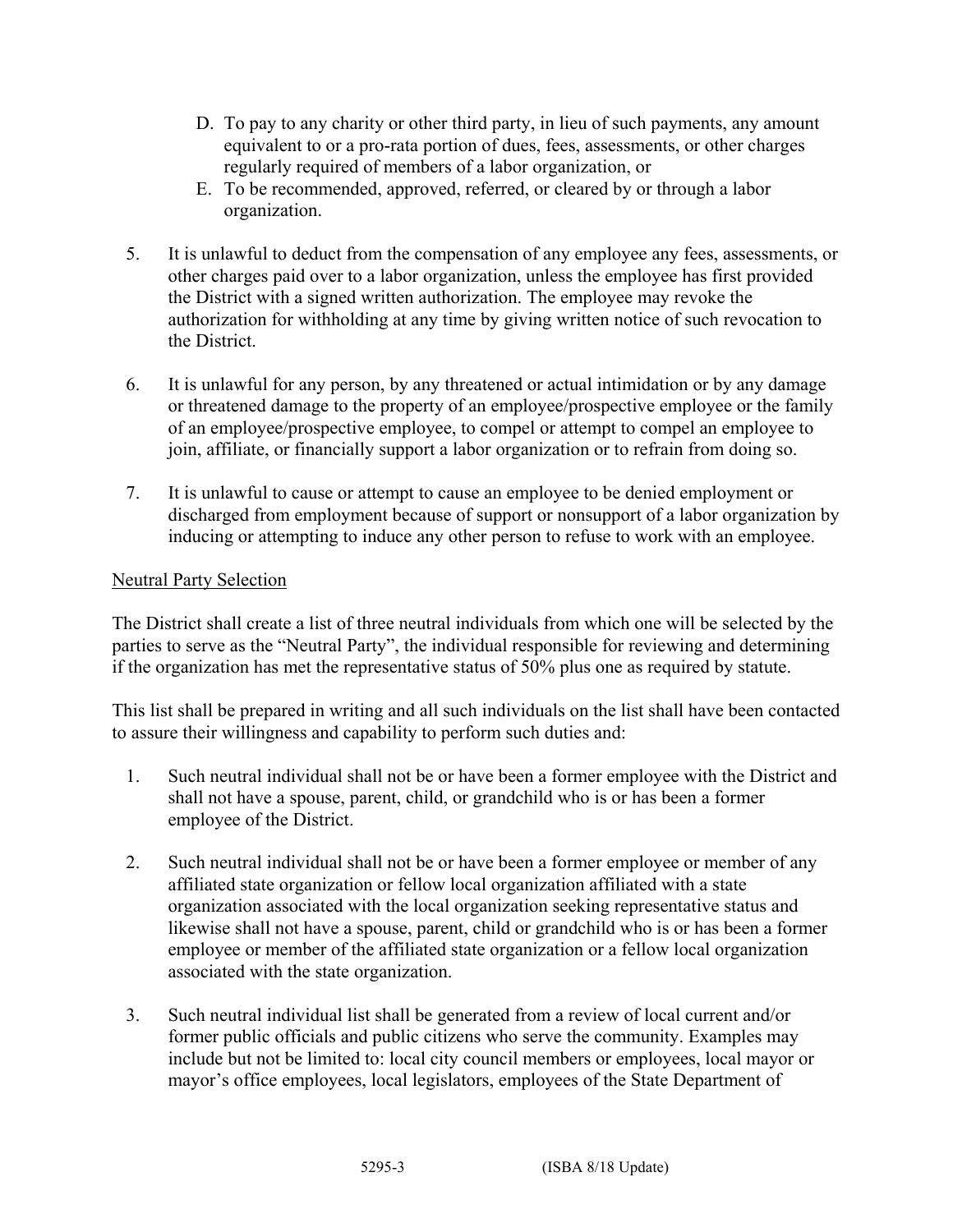- D. To pay to any charity or other third party, in lieu of such payments, any amount equivalent to or a pro-rata portion of dues, fees, assessments, or other charges regularly required of members of a labor organization, or
- E. To be recommended, approved, referred, or cleared by or through a labor organization.
- 5. It is unlawful to deduct from the compensation of any employee any fees, assessments, or other charges paid over to a labor organization, unless the employee has first provided the District with a signed written authorization. The employee may revoke the authorization for withholding at any time by giving written notice of such revocation to the District.
- 6. It is unlawful for any person, by any threatened or actual intimidation or by any damage or threatened damage to the property of an employee/prospective employee or the family of an employee/prospective employee, to compel or attempt to compel an employee to join, affiliate, or financially support a labor organization or to refrain from doing so.
- 7. It is unlawful to cause or attempt to cause an employee to be denied employment or discharged from employment because of support or nonsupport of a labor organization by inducing or attempting to induce any other person to refuse to work with an employee.

## Neutral Party Selection

The District shall create a list of three neutral individuals from which one will be selected by the parties to serve as the "Neutral Party", the individual responsible for reviewing and determining if the organization has met the representative status of 50% plus one as required by statute.

This list shall be prepared in writing and all such individuals on the list shall have been contacted to assure their willingness and capability to perform such duties and:

- 1. Such neutral individual shall not be or have been a former employee with the District and shall not have a spouse, parent, child, or grandchild who is or has been a former employee of the District.
- 2. Such neutral individual shall not be or have been a former employee or member of any affiliated state organization or fellow local organization affiliated with a state organization associated with the local organization seeking representative status and likewise shall not have a spouse, parent, child or grandchild who is or has been a former employee or member of the affiliated state organization or a fellow local organization associated with the state organization.
- 3. Such neutral individual list shall be generated from a review of local current and/or former public officials and public citizens who serve the community. Examples may include but not be limited to: local city council members or employees, local mayor or mayor's office employees, local legislators, employees of the State Department of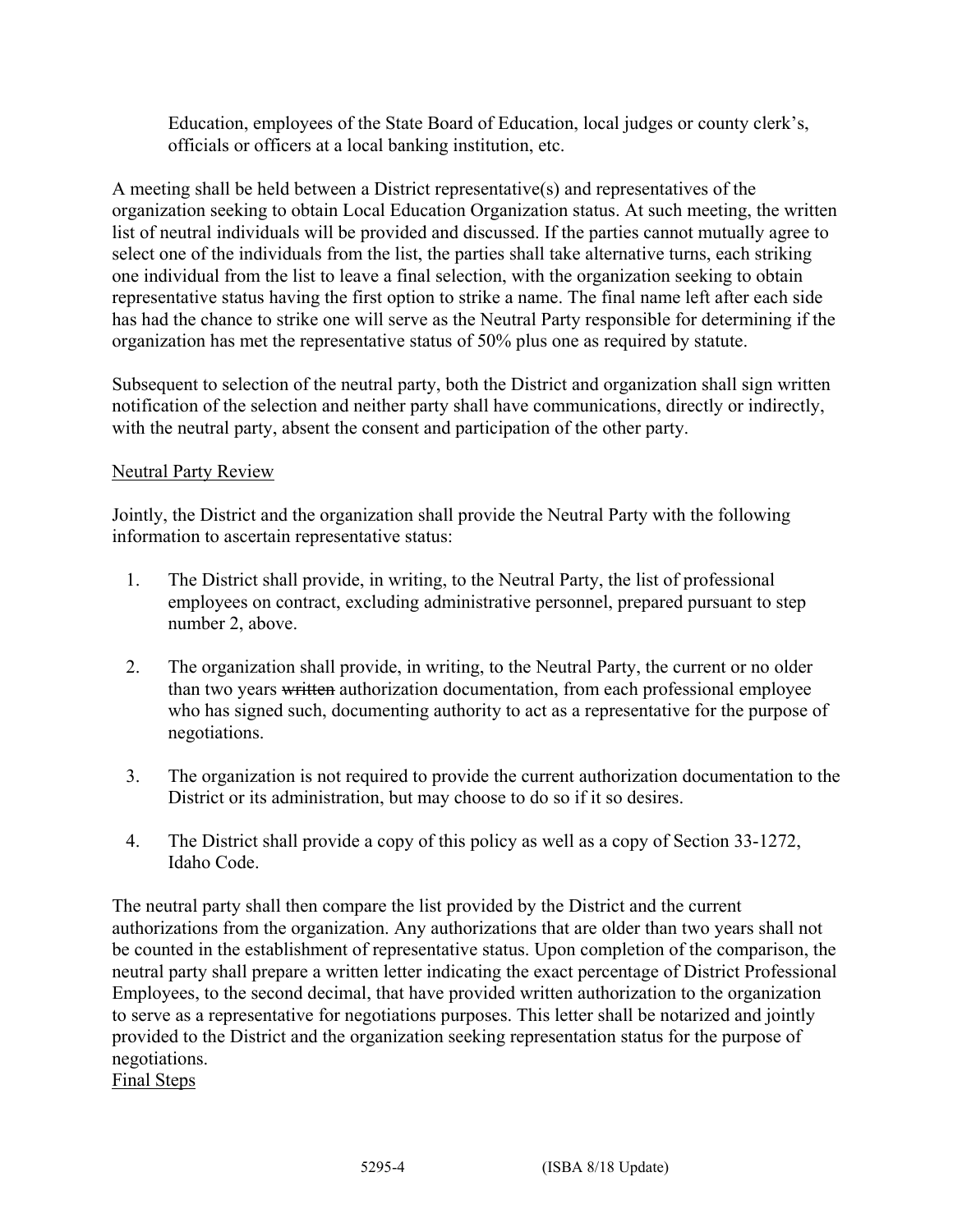Education, employees of the State Board of Education, local judges or county clerk's, officials or officers at a local banking institution, etc.

A meeting shall be held between a District representative(s) and representatives of the organization seeking to obtain Local Education Organization status. At such meeting, the written list of neutral individuals will be provided and discussed. If the parties cannot mutually agree to select one of the individuals from the list, the parties shall take alternative turns, each striking one individual from the list to leave a final selection, with the organization seeking to obtain representative status having the first option to strike a name. The final name left after each side has had the chance to strike one will serve as the Neutral Party responsible for determining if the organization has met the representative status of 50% plus one as required by statute.

Subsequent to selection of the neutral party, both the District and organization shall sign written notification of the selection and neither party shall have communications, directly or indirectly, with the neutral party, absent the consent and participation of the other party.

### Neutral Party Review

Jointly, the District and the organization shall provide the Neutral Party with the following information to ascertain representative status:

- 1. The District shall provide, in writing, to the Neutral Party, the list of professional employees on contract, excluding administrative personnel, prepared pursuant to step number 2, above.
- 2. The organization shall provide, in writing, to the Neutral Party, the current or no older than two years written authorization documentation, from each professional employee who has signed such, documenting authority to act as a representative for the purpose of negotiations.
- 3. The organization is not required to provide the current authorization documentation to the District or its administration, but may choose to do so if it so desires.
- 4. The District shall provide a copy of this policy as well as a copy of Section 33-1272, Idaho Code.

The neutral party shall then compare the list provided by the District and the current authorizations from the organization. Any authorizations that are older than two years shall not be counted in the establishment of representative status. Upon completion of the comparison, the neutral party shall prepare a written letter indicating the exact percentage of District Professional Employees, to the second decimal, that have provided written authorization to the organization to serve as a representative for negotiations purposes. This letter shall be notarized and jointly provided to the District and the organization seeking representation status for the purpose of negotiations.

Final Steps